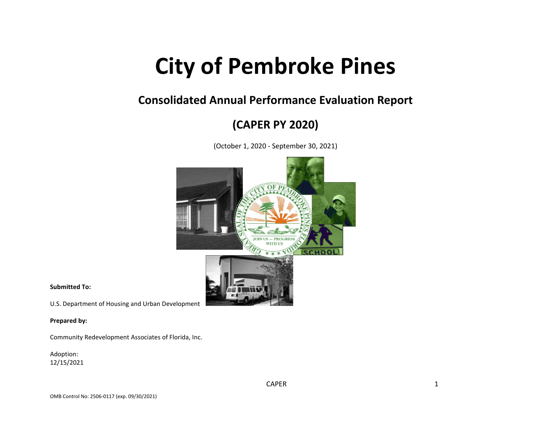# **City of Pembroke Pines**

## **Consolidated Annual Performance Evaluation Report**

# **(CAPER PY 2020)**

(October 1, 2020 - September 30, 2021)



**Submitted To:**

U.S. Department of Housing and Urban Development

**Prepared by:**

Community Redevelopment Associates of Florida, Inc.

Adoption: 12/15/2021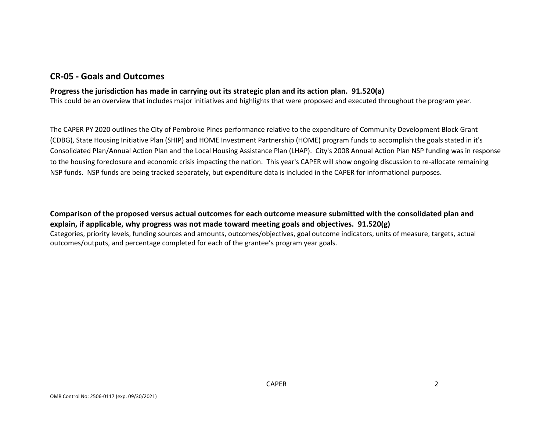#### **CR-05 - Goals and Outcomes**

#### **Progress the jurisdiction has made in carrying out its strategic plan and its action plan. 91.520(a)**

This could be an overview that includes major initiatives and highlights that were proposed and executed throughout the program year.

The CAPER PY 2020 outlines the City of Pembroke Pines performance relative to the expenditure of Community Development Block Grant (CDBG), State Housing Initiative Plan (SHIP) and HOME Investment Partnership (HOME) program funds to accomplish the goals stated in it's Consolidated Plan/Annual Action Plan and the Local Housing Assistance Plan (LHAP). City's 2008 Annual Action Plan NSP funding was in response to the housing foreclosure and economic crisis impacting the nation. This year's CAPER will show ongoing discussion to re-allocate remaining NSP funds. NSP funds are being tracked separately, but expenditure data is included in the CAPER for informational purposes.

**Comparison of the proposed versus actual outcomes for each outcome measure submitted with the consolidated plan and explain, if applicable, why progress was not made toward meeting goals and objectives. 91.520(g)** Categories, priority levels, funding sources and amounts, outcomes/objectives, goal outcome indicators, units of measure, targets, actual outcomes/outputs, and percentage completed for each of the grantee's program year goals.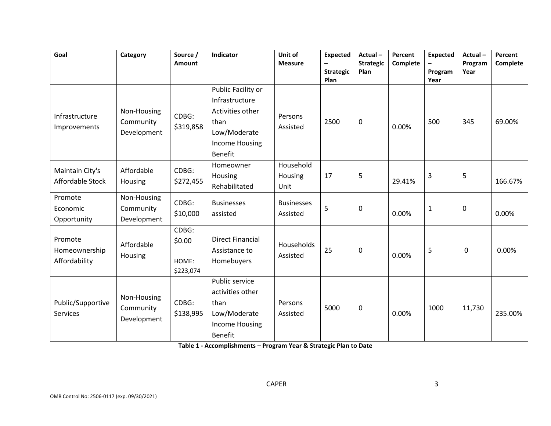| Goal                                      | Category                                | Source /<br><b>Amount</b>             | Indicator                                                                                                     | Unit of<br><b>Measure</b>     | <b>Expected</b><br><b>Strategic</b><br>Plan | Actual-<br><b>Strategic</b><br>Plan | Percent<br>Complete | <b>Expected</b><br>Program<br>Year | Actual-<br>Program<br>Year | Percent<br>Complete |
|-------------------------------------------|-----------------------------------------|---------------------------------------|---------------------------------------------------------------------------------------------------------------|-------------------------------|---------------------------------------------|-------------------------------------|---------------------|------------------------------------|----------------------------|---------------------|
| Infrastructure<br>Improvements            | Non-Housing<br>Community<br>Development | CDBG:<br>\$319,858                    | Public Facility or<br>Infrastructure<br>Activities other<br>than<br>Low/Moderate<br>Income Housing<br>Benefit | Persons<br>Assisted           | 2500                                        | 0                                   | 0.00%               | 500                                | 345                        | 69.00%              |
| Maintain City's<br>Affordable Stock       | Affordable<br>Housing                   | CDBG:<br>\$272,455                    | Homeowner<br>Housing<br>Rehabilitated                                                                         | Household<br>Housing<br>Unit  | 17                                          | 5                                   | 29.41%              | 3                                  | 5                          | 166.67%             |
| Promote<br>Economic<br>Opportunity        | Non-Housing<br>Community<br>Development | CDBG:<br>\$10,000                     | <b>Businesses</b><br>assisted                                                                                 | <b>Businesses</b><br>Assisted | 5                                           | $\pmb{0}$                           | 0.00%               | $\mathbf{1}$                       | $\pmb{0}$                  | 0.00%               |
| Promote<br>Homeownership<br>Affordability | Affordable<br>Housing                   | CDBG:<br>\$0.00<br>HOME:<br>\$223,074 | <b>Direct Financial</b><br>Assistance to<br>Homebuyers                                                        | Households<br>Assisted        | 25                                          | $\pmb{0}$                           | 0.00%               | 5                                  | $\pmb{0}$                  | 0.00%               |
| Public/Supportive<br><b>Services</b>      | Non-Housing<br>Community<br>Development | CDBG:<br>\$138,995                    | Public service<br>activities other<br>than<br>Low/Moderate<br><b>Income Housing</b><br><b>Benefit</b>         | Persons<br>Assisted           | 5000                                        | 0                                   | 0.00%               | 1000                               | 11,730                     | 235.00%             |

**Table 1 - Accomplishments – Program Year & Strategic Plan to Date**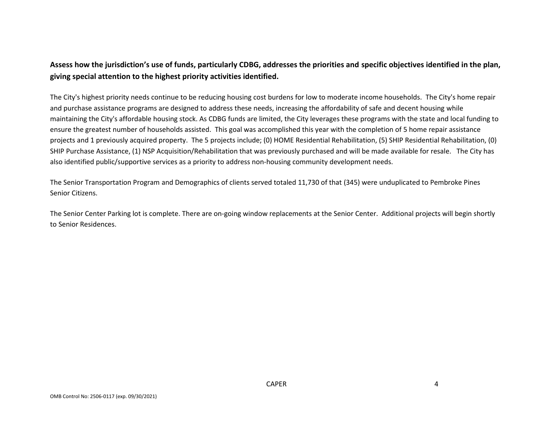## **Assess how the jurisdiction's use of funds, particularly CDBG, addresses the priorities and specific objectives identified in the plan, giving special attention to the highest priority activities identified.**

The City's highest priority needs continue to be reducing housing cost burdens for low to moderate income households. The City's home repair and purchase assistance programs are designed to address these needs, increasing the affordability of safe and decent housing while maintaining the City's affordable housing stock. As CDBG funds are limited, the City leverages these programs with the state and local funding to ensure the greatest number of households assisted. This goal was accomplished this year with the completion of 5 home repair assistance projects and 1 previously acquired property. The 5 projects include; (0) HOME Residential Rehabilitation, (5) SHIP Residential Rehabilitation, (0) SHIP Purchase Assistance, (1) NSP Acquisition/Rehabilitation that was previously purchased and will be made available for resale. The City has also identified public/supportive services as a priority to address non-housing community development needs.

The Senior Transportation Program and Demographics of clients served totaled 11,730 of that (345) were unduplicated to Pembroke Pines Senior Citizens.

The Senior Center Parking lot is complete. There are on-going window replacements at the Senior Center. Additional projects will begin shortly to Senior Residences.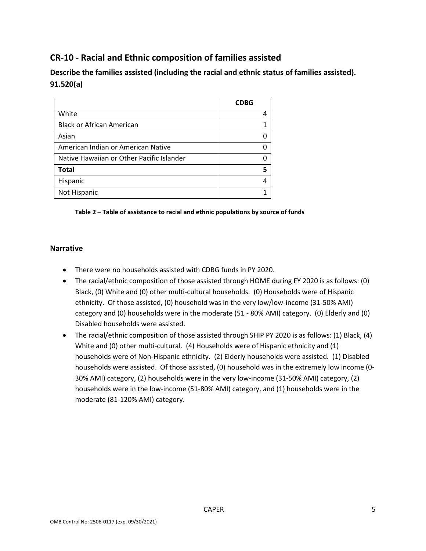## **CR-10 - Racial and Ethnic composition of families assisted**

**Describe the families assisted (including the racial and ethnic status of families assisted). 91.520(a)** 

|                                           | <b>CDBG</b> |
|-------------------------------------------|-------------|
| White                                     |             |
| <b>Black or African American</b>          |             |
| Asian                                     |             |
| American Indian or American Native        |             |
| Native Hawaiian or Other Pacific Islander |             |
| <b>Total</b>                              |             |
| Hispanic                                  |             |
| Not Hispanic                              |             |

#### **Table 2 – Table of assistance to racial and ethnic populations by source of funds**

#### **Narrative**

- There were no households assisted with CDBG funds in PY 2020.
- The racial/ethnic composition of those assisted through HOME during FY 2020 is as follows: (0) Black, (0) White and (0) other multi-cultural households. (0) Households were of Hispanic ethnicity. Of those assisted, (0) household was in the very low/low-income (31-50% AMI) category and (0) households were in the moderate (51 - 80% AMI) category. (0) Elderly and (0) Disabled households were assisted.
- The racial/ethnic composition of those assisted through SHIP PY 2020 is as follows: (1) Black, (4) White and (0) other multi-cultural. (4) Households were of Hispanic ethnicity and (1) households were of Non-Hispanic ethnicity. (2) Elderly households were assisted. (1) Disabled households were assisted. Of those assisted, (0) household was in the extremely low income (0- 30% AMI) category, (2) households were in the very low-income (31-50% AMI) category, (2) households were in the low-income (51-80% AMI) category, and (1) households were in the moderate (81-120% AMI) category.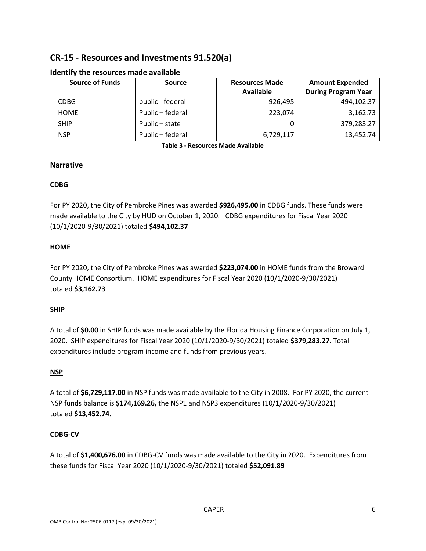## **CR-15 - Resources and Investments 91.520(a)**

| <b>Source of Funds</b> | Source           | <b>Resources Made</b> | <b>Amount Expended</b>     |  |
|------------------------|------------------|-----------------------|----------------------------|--|
|                        |                  | Available             | <b>During Program Year</b> |  |
| <b>CDBG</b>            | public - federal | 926,495               | 494,102.37                 |  |
| <b>HOME</b>            | Public – federal | 223,074               | 3,162.73                   |  |
| <b>SHIP</b>            | Public – state   |                       | 379,283.27                 |  |
| <b>NSP</b>             | Public - federal | 6,729,117             | 13,452.74                  |  |

#### **Identify the resources made available**

**Table 3 - Resources Made Available**

#### **Narrative**

#### **CDBG**

For PY 2020, the City of Pembroke Pines was awarded **\$926,495.00** in CDBG funds. These funds were made available to the City by HUD on October 1, 2020. CDBG expenditures for Fiscal Year 2020 (10/1/2020-9/30/2021) totaled **\$494,102.37**

#### **HOME**

For PY 2020, the City of Pembroke Pines was awarded **\$223,074.00** in HOME funds from the Broward County HOME Consortium. HOME expenditures for Fiscal Year 2020 (10/1/2020-9/30/2021) totaled **\$3,162.73**

#### **SHIP**

A total of **\$0.00** in SHIP funds was made available by the Florida Housing Finance Corporation on July 1, 2020. SHIP expenditures for Fiscal Year 2020 (10/1/2020-9/30/2021) totaled **\$379,283.27**. Total expenditures include program income and funds from previous years.

#### **NSP**

A total of **\$6,729,117.00** in NSP funds was made available to the City in 2008. For PY 2020, the current NSP funds balance is **\$174,169.26,** the NSP1 and NSP3 expenditures (10/1/2020-9/30/2021) totaled **\$13,452.74.** 

#### **CDBG-CV**

A total of **\$1,400,676.00** in CDBG-CV funds was made available to the City in 2020. Expenditures from these funds for Fiscal Year 2020 (10/1/2020-9/30/2021) totaled **\$52,091.89**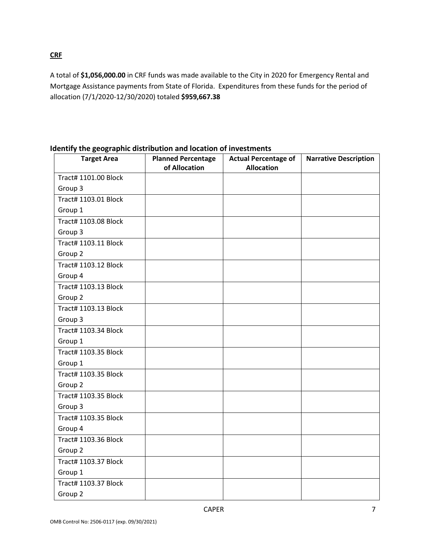**CRF**

A total of **\$1,056,000.00** in CRF funds was made available to the City in 2020 for Emergency Rental and Mortgage Assistance payments from State of Florida. Expenditures from these funds for the period of allocation (7/1/2020-12/30/2020) totaled **\$959,667.38**

| <b>Target Area</b>          | <b>Planned Percentage</b><br>of Allocation | <b>Actual Percentage of</b><br><b>Allocation</b> | <b>Narrative Description</b> |
|-----------------------------|--------------------------------------------|--------------------------------------------------|------------------------------|
| Tract# 1101.00 Block        |                                            |                                                  |                              |
| Group 3                     |                                            |                                                  |                              |
| Tract# 1103.01 Block        |                                            |                                                  |                              |
| Group 1                     |                                            |                                                  |                              |
| <b>Tract# 1103.08 Block</b> |                                            |                                                  |                              |
| Group 3                     |                                            |                                                  |                              |
| Tract# 1103.11 Block        |                                            |                                                  |                              |
| Group 2                     |                                            |                                                  |                              |
| Tract# 1103.12 Block        |                                            |                                                  |                              |
| Group 4                     |                                            |                                                  |                              |
| Tract# 1103.13 Block        |                                            |                                                  |                              |
| Group 2                     |                                            |                                                  |                              |
| Tract# 1103.13 Block        |                                            |                                                  |                              |
| Group 3                     |                                            |                                                  |                              |
| Tract# 1103.34 Block        |                                            |                                                  |                              |
| Group 1                     |                                            |                                                  |                              |
| Tract# 1103.35 Block        |                                            |                                                  |                              |
| Group 1                     |                                            |                                                  |                              |
| Tract# 1103.35 Block        |                                            |                                                  |                              |
| Group 2                     |                                            |                                                  |                              |
| Tract# 1103.35 Block        |                                            |                                                  |                              |
| Group 3                     |                                            |                                                  |                              |
| Tract# 1103.35 Block        |                                            |                                                  |                              |
| Group 4                     |                                            |                                                  |                              |
| Tract# 1103.36 Block        |                                            |                                                  |                              |
| Group 2                     |                                            |                                                  |                              |
| Tract# 1103.37 Block        |                                            |                                                  |                              |
| Group 1                     |                                            |                                                  |                              |
| Tract# 1103.37 Block        |                                            |                                                  |                              |
| Group 2                     |                                            |                                                  |                              |

**Identify the geographic distribution and location of investments**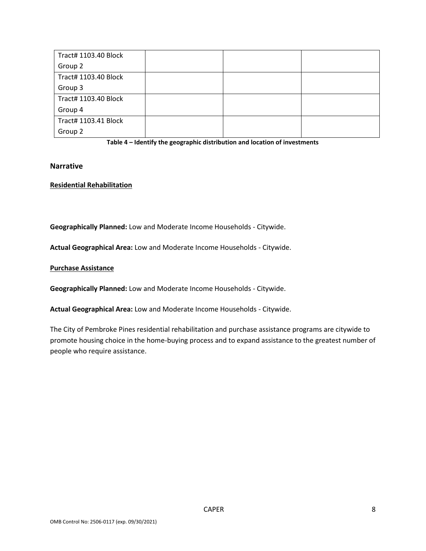| Tract# 1103.40 Block |  |  |
|----------------------|--|--|
| Group 2              |  |  |
| Tract# 1103.40 Block |  |  |
| Group 3              |  |  |
| Tract# 1103.40 Block |  |  |
| Group 4              |  |  |
| Tract# 1103.41 Block |  |  |
| Group 2              |  |  |



#### **Narrative**

#### **Residential Rehabilitation**

**Geographically Planned:** Low and Moderate Income Households - Citywide.

**Actual Geographical Area:** Low and Moderate Income Households - Citywide.

#### **Purchase Assistance**

**Geographically Planned:** Low and Moderate Income Households - Citywide.

**Actual Geographical Area:** Low and Moderate Income Households - Citywide.

The City of Pembroke Pines residential rehabilitation and purchase assistance programs are citywide to promote housing choice in the home-buying process and to expand assistance to the greatest number of people who require assistance.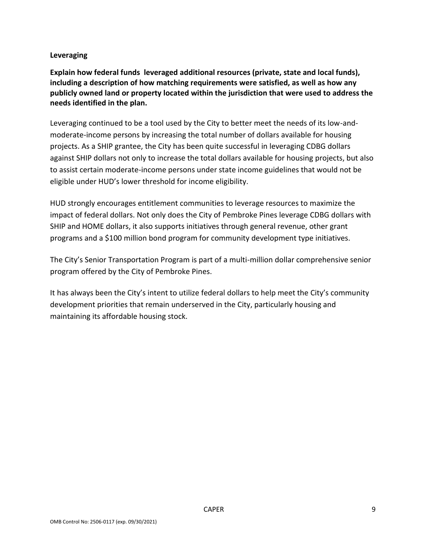#### **Leveraging**

**Explain how federal funds leveraged additional resources (private, state and local funds), including a description of how matching requirements were satisfied, as well as how any publicly owned land or property located within the jurisdiction that were used to address the needs identified in the plan.**

Leveraging continued to be a tool used by the City to better meet the needs of its low-andmoderate-income persons by increasing the total number of dollars available for housing projects. As a SHIP grantee, the City has been quite successful in leveraging CDBG dollars against SHIP dollars not only to increase the total dollars available for housing projects, but also to assist certain moderate-income persons under state income guidelines that would not be eligible under HUD's lower threshold for income eligibility.

HUD strongly encourages entitlement communities to leverage resources to maximize the impact of federal dollars. Not only does the City of Pembroke Pines leverage CDBG dollars with SHIP and HOME dollars, it also supports initiatives through general revenue, other grant programs and a \$100 million bond program for community development type initiatives.

The City's Senior Transportation Program is part of a multi-million dollar comprehensive senior program offered by the City of Pembroke Pines.

It has always been the City's intent to utilize federal dollars to help meet the City's community development priorities that remain underserved in the City, particularly housing and maintaining its affordable housing stock.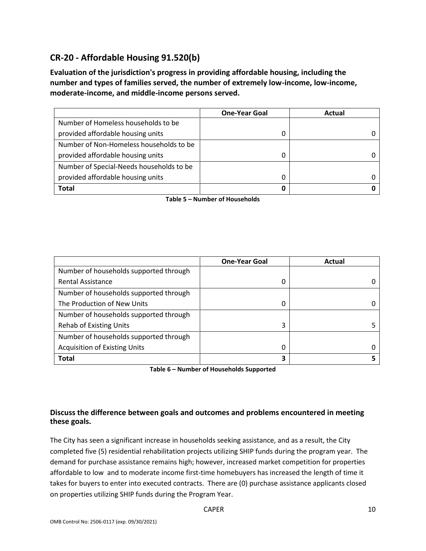## **CR-20 - Affordable Housing 91.520(b)**

**Evaluation of the jurisdiction's progress in providing affordable housing, including the number and types of families served, the number of extremely low-income, low-income, moderate-income, and middle-income persons served.**

|                                          | <b>One-Year Goal</b> | Actual |
|------------------------------------------|----------------------|--------|
| Number of Homeless households to be      |                      |        |
| provided affordable housing units        |                      |        |
| Number of Non-Homeless households to be  |                      |        |
| provided affordable housing units        |                      |        |
| Number of Special-Needs households to be |                      |        |
| provided affordable housing units        |                      |        |
| Total                                    | 0                    |        |

**Table 5 – Number of Households**

|                                        | <b>One-Year Goal</b> | Actual |
|----------------------------------------|----------------------|--------|
| Number of households supported through |                      |        |
| <b>Rental Assistance</b>               | 0                    |        |
| Number of households supported through |                      |        |
| The Production of New Units            | 0                    |        |
| Number of households supported through |                      |        |
| <b>Rehab of Existing Units</b>         | 3                    |        |
| Number of households supported through |                      |        |
| <b>Acquisition of Existing Units</b>   | 0                    |        |
| <b>Total</b>                           | 3                    |        |

**Table 6 – Number of Households Supported**

#### **Discuss the difference between goals and outcomes and problems encountered in meeting these goals.**

The City has seen a significant increase in households seeking assistance, and as a result, the City completed five (5) residential rehabilitation projects utilizing SHIP funds during the program year. The demand for purchase assistance remains high; however, increased market competition for properties affordable to low and to moderate income first-time homebuyers has increased the length of time it takes for buyers to enter into executed contracts. There are (0) purchase assistance applicants closed on properties utilizing SHIP funds during the Program Year.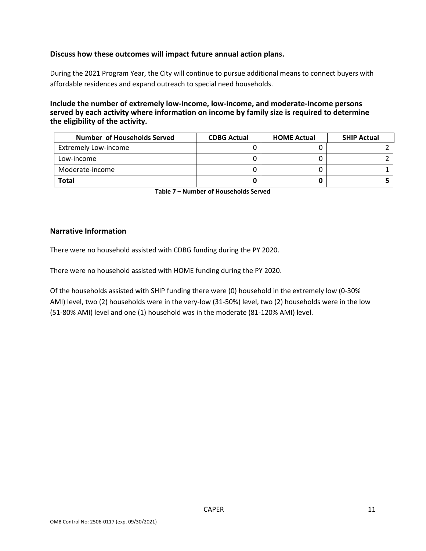#### **Discuss how these outcomes will impact future annual action plans.**

During the 2021 Program Year, the City will continue to pursue additional means to connect buyers with affordable residences and expand outreach to special need households.

**Include the number of extremely low-income, low-income, and moderate-income persons served by each activity where information on income by family size is required to determine the eligibility of the activity.**

| Number of Households Served | <b>CDBG Actual</b> | <b>HOME Actual</b> | <b>SHIP Actual</b> |
|-----------------------------|--------------------|--------------------|--------------------|
| <b>Extremely Low-income</b> |                    |                    |                    |
| Low-income                  |                    |                    |                    |
| Moderate-income             |                    |                    |                    |
| <b>Total</b>                |                    |                    |                    |

**Table 7 – Number of Households Served**

#### **Narrative Information**

There were no household assisted with CDBG funding during the PY 2020.

There were no household assisted with HOME funding during the PY 2020.

Of the households assisted with SHIP funding there were (0) household in the extremely low (0-30% AMI) level, two (2) households were in the very-low (31-50%) level, two (2) households were in the low (51-80% AMI) level and one (1) household was in the moderate (81-120% AMI) level.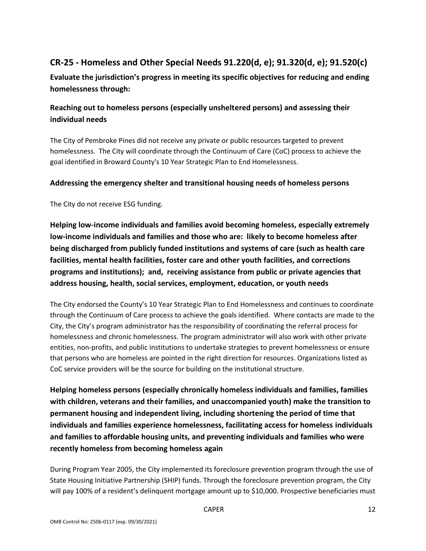## **CR-25 - Homeless and Other Special Needs 91.220(d, e); 91.320(d, e); 91.520(c)**

**Evaluate the jurisdiction's progress in meeting its specific objectives for reducing and ending homelessness through:**

## **Reaching out to homeless persons (especially unsheltered persons) and assessing their individual needs**

The City of Pembroke Pines did not receive any private or public resources targeted to prevent homelessness. The City will coordinate through the Continuum of Care (CoC) process to achieve the goal identified in Broward County's 10 Year Strategic Plan to End Homelessness.

#### **Addressing the emergency shelter and transitional housing needs of homeless persons**

The City do not receive ESG funding.

**Helping low-income individuals and families avoid becoming homeless, especially extremely low-income individuals and families and those who are: likely to become homeless after being discharged from publicly funded institutions and systems of care (such as health care facilities, mental health facilities, foster care and other youth facilities, and corrections programs and institutions); and, receiving assistance from public or private agencies that address housing, health, social services, employment, education, or youth needs**

The City endorsed the County's 10 Year Strategic Plan to End Homelessness and continues to coordinate through the Continuum of Care process to achieve the goals identified. Where contacts are made to the City, the City's program administrator has the responsibility of coordinating the referral process for homelessness and chronic homelessness. The program administrator will also work with other private entities, non-profits, and public institutions to undertake strategies to prevent homelessness or ensure that persons who are homeless are pointed in the right direction for resources. Organizations listed as CoC service providers will be the source for building on the institutional structure.

**Helping homeless persons (especially chronically homeless individuals and families, families with children, veterans and their families, and unaccompanied youth) make the transition to permanent housing and independent living, including shortening the period of time that individuals and families experience homelessness, facilitating access for homeless individuals and families to affordable housing units, and preventing individuals and families who were recently homeless from becoming homeless again**

During Program Year 2005, the City implemented its foreclosure prevention program through the use of State Housing Initiative Partnership (SHIP) funds. Through the foreclosure prevention program, the City will pay 100% of a resident's delinquent mortgage amount up to \$10,000. Prospective beneficiaries must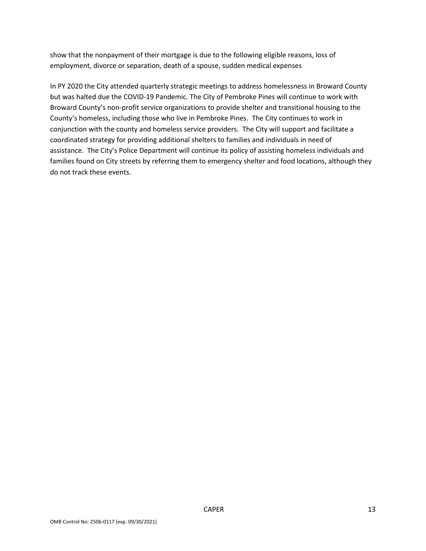show that the nonpayment of their mortgage is due to the following eligible reasons, loss of employment, divorce or separation, death of a spouse, sudden medical expenses

In PY 2020 the City attended quarterly strategic meetings to address homelessness in Broward County but was halted due the COVID-19 Pandemic. The City of Pembroke Pines will continue to work with Broward County's non-profit service organizations to provide shelter and transitional housing to the County's homeless, including those who live in Pembroke Pines. The City continues to work in conjunction with the county and homeless service providers. The City will support and facilitate a coordinated strategy for providing additional shelters to families and individuals in need of assistance. The City's Police Department will continue its policy of assisting homeless individuals and families found on City streets by referring them to emergency shelter and food locations, although they do not track these events.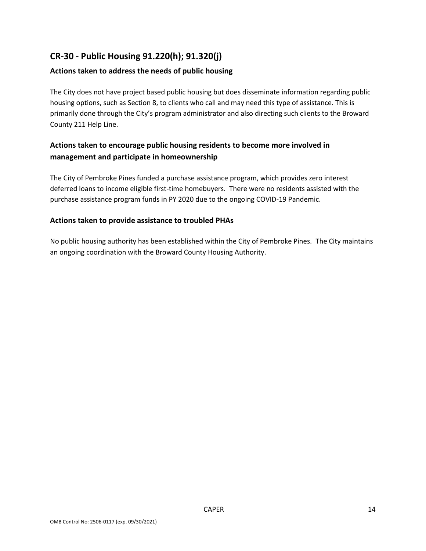## **CR-30 - Public Housing 91.220(h); 91.320(j)**

#### **Actions taken to address the needs of public housing**

The City does not have project based public housing but does disseminate information regarding public housing options, such as Section 8, to clients who call and may need this type of assistance. This is primarily done through the City's program administrator and also directing such clients to the Broward County 211 Help Line.

### **Actions taken to encourage public housing residents to become more involved in management and participate in homeownership**

The City of Pembroke Pines funded a purchase assistance program, which provides zero interest deferred loans to income eligible first-time homebuyers. There were no residents assisted with the purchase assistance program funds in PY 2020 due to the ongoing COVID-19 Pandemic.

#### **Actions taken to provide assistance to troubled PHAs**

No public housing authority has been established within the City of Pembroke Pines. The City maintains an ongoing coordination with the Broward County Housing Authority.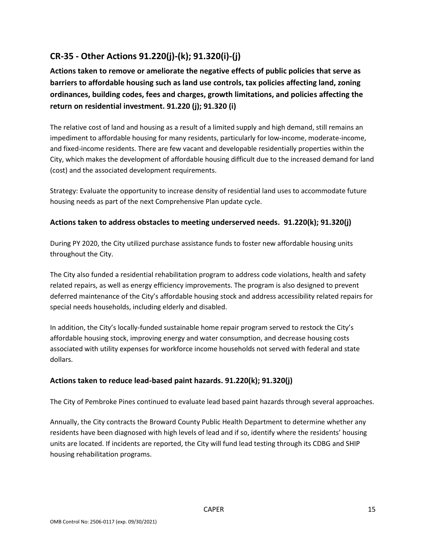## **CR-35 - Other Actions 91.220(j)-(k); 91.320(i)-(j)**

**Actions taken to remove or ameliorate the negative effects of public policies that serve as barriers to affordable housing such as land use controls, tax policies affecting land, zoning ordinances, building codes, fees and charges, growth limitations, and policies affecting the return on residential investment. 91.220 (j); 91.320 (i)**

The relative cost of land and housing as a result of a limited supply and high demand, still remains an impediment to affordable housing for many residents, particularly for low-income, moderate-income, and fixed-income residents. There are few vacant and developable residentially properties within the City, which makes the development of affordable housing difficult due to the increased demand for land (cost) and the associated development requirements.

Strategy: Evaluate the opportunity to increase density of residential land uses to accommodate future housing needs as part of the next Comprehensive Plan update cycle.

#### **Actions taken to address obstacles to meeting underserved needs. 91.220(k); 91.320(j)**

During PY 2020, the City utilized purchase assistance funds to foster new affordable housing units throughout the City.

The City also funded a residential rehabilitation program to address code violations, health and safety related repairs, as well as energy efficiency improvements. The program is also designed to prevent deferred maintenance of the City's affordable housing stock and address accessibility related repairs for special needs households, including elderly and disabled.

In addition, the City's locally-funded sustainable home repair program served to restock the City's affordable housing stock, improving energy and water consumption, and decrease housing costs associated with utility expenses for workforce income households not served with federal and state dollars.

#### **Actions taken to reduce lead-based paint hazards. 91.220(k); 91.320(j)**

The City of Pembroke Pines continued to evaluate lead based paint hazards through several approaches.

Annually, the City contracts the Broward County Public Health Department to determine whether any residents have been diagnosed with high levels of lead and if so, identify where the residents' housing units are located. If incidents are reported, the City will fund lead testing through its CDBG and SHIP housing rehabilitation programs.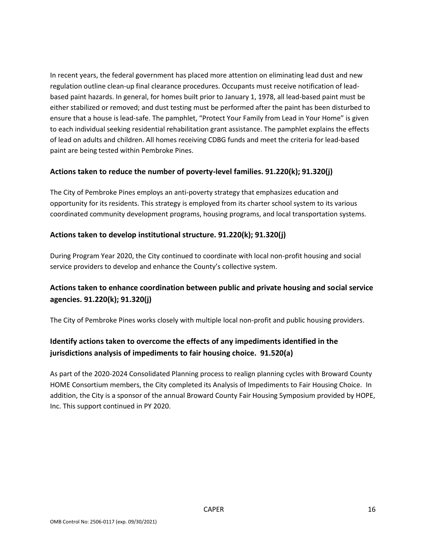In recent years, the federal government has placed more attention on eliminating lead dust and new regulation outline clean-up final clearance procedures. Occupants must receive notification of leadbased paint hazards. In general, for homes built prior to January 1, 1978, all lead-based paint must be either stabilized or removed; and dust testing must be performed after the paint has been disturbed to ensure that a house is lead-safe. The pamphlet, "Protect Your Family from Lead in Your Home" is given to each individual seeking residential rehabilitation grant assistance. The pamphlet explains the effects of lead on adults and children. All homes receiving CDBG funds and meet the criteria for lead-based paint are being tested within Pembroke Pines.

#### **Actions taken to reduce the number of poverty-level families. 91.220(k); 91.320(j)**

The City of Pembroke Pines employs an anti-poverty strategy that emphasizes education and opportunity for its residents. This strategy is employed from its charter school system to its various coordinated community development programs, housing programs, and local transportation systems.

#### **Actions taken to develop institutional structure. 91.220(k); 91.320(j)**

During Program Year 2020, the City continued to coordinate with local non-profit housing and social service providers to develop and enhance the County's collective system.

## **Actions taken to enhance coordination between public and private housing and social service agencies. 91.220(k); 91.320(j)**

The City of Pembroke Pines works closely with multiple local non-profit and public housing providers.

## **Identify actions taken to overcome the effects of any impediments identified in the jurisdictions analysis of impediments to fair housing choice. 91.520(a)**

As part of the 2020-2024 Consolidated Planning process to realign planning cycles with Broward County HOME Consortium members, the City completed its Analysis of Impediments to Fair Housing Choice. In addition, the City is a sponsor of the annual Broward County Fair Housing Symposium provided by HOPE, Inc. This support continued in PY 2020.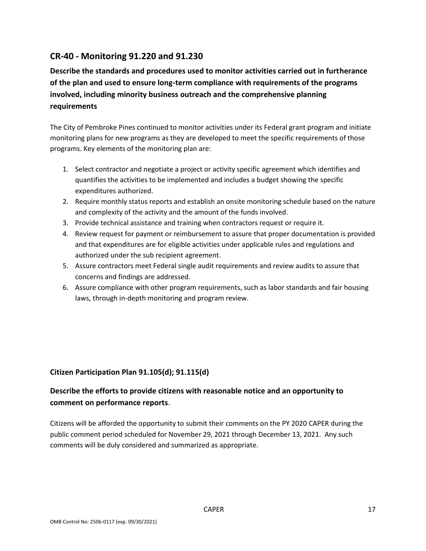## **CR-40 - Monitoring 91.220 and 91.230**

**Describe the standards and procedures used to monitor activities carried out in furtherance of the plan and used to ensure long-term compliance with requirements of the programs involved, including minority business outreach and the comprehensive planning requirements**

The City of Pembroke Pines continued to monitor activities under its Federal grant program and initiate monitoring plans for new programs as they are developed to meet the specific requirements of those programs. Key elements of the monitoring plan are:

- 1. Select contractor and negotiate a project or activity specific agreement which identifies and quantifies the activities to be implemented and includes a budget showing the specific expenditures authorized.
- 2. Require monthly status reports and establish an onsite monitoring schedule based on the nature and complexity of the activity and the amount of the funds involved.
- 3. Provide technical assistance and training when contractors request or require it.
- 4. Review request for payment or reimbursement to assure that proper documentation is provided and that expenditures are for eligible activities under applicable rules and regulations and authorized under the sub recipient agreement.
- 5. Assure contractors meet Federal single audit requirements and review audits to assure that concerns and findings are addressed.
- 6. Assure compliance with other program requirements, such as labor standards and fair housing laws, through in-depth monitoring and program review.

#### **Citizen Participation Plan 91.105(d); 91.115(d)**

## **Describe the efforts to provide citizens with reasonable notice and an opportunity to comment on performance reports**.

Citizens will be afforded the opportunity to submit their comments on the PY 2020 CAPER during the public comment period scheduled for November 29, 2021 through December 13, 2021. Any such comments will be duly considered and summarized as appropriate.